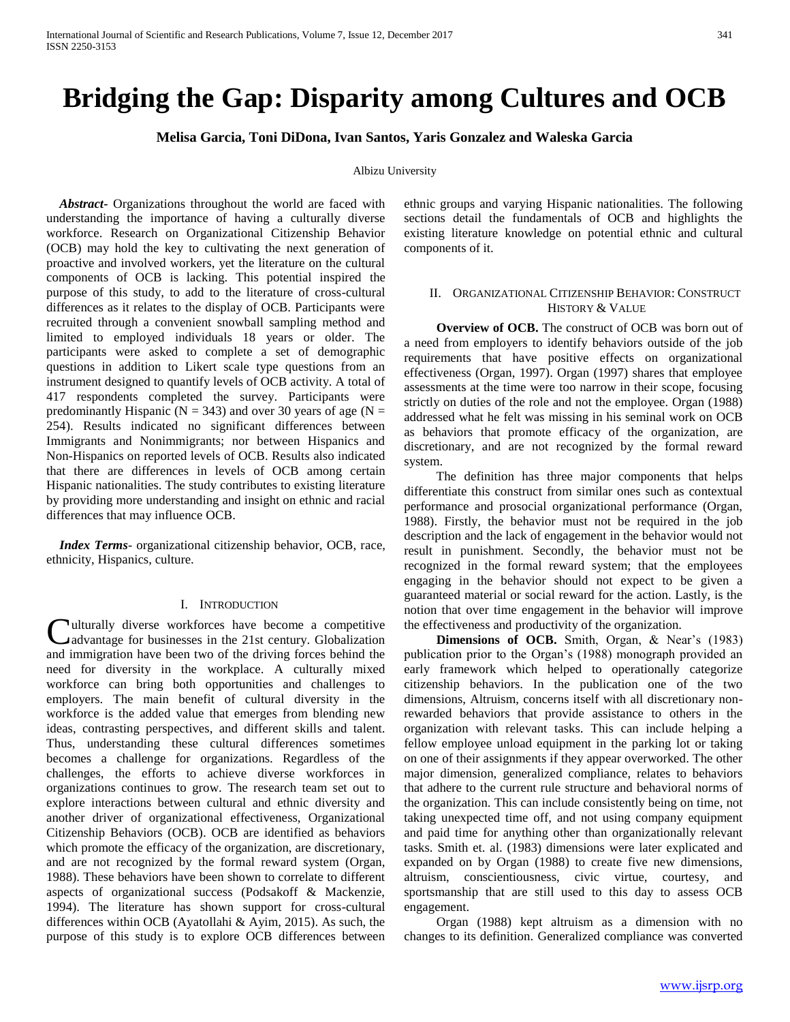# **Bridging the Gap: Disparity among Cultures and OCB**

**Melisa Garcia, Toni DiDona, Ivan Santos, Yaris Gonzalez and Waleska Garcia**

Albizu University

 *Abstract***-** Organizations throughout the world are faced with understanding the importance of having a culturally diverse workforce. Research on Organizational Citizenship Behavior (OCB) may hold the key to cultivating the next generation of proactive and involved workers, yet the literature on the cultural components of OCB is lacking. This potential inspired the purpose of this study, to add to the literature of cross-cultural differences as it relates to the display of OCB. Participants were recruited through a convenient snowball sampling method and limited to employed individuals 18 years or older. The participants were asked to complete a set of demographic questions in addition to Likert scale type questions from an instrument designed to quantify levels of OCB activity. A total of 417 respondents completed the survey. Participants were predominantly Hispanic ( $N = 343$ ) and over 30 years of age ( $N =$ 254). Results indicated no significant differences between Immigrants and Nonimmigrants; nor between Hispanics and Non-Hispanics on reported levels of OCB. Results also indicated that there are differences in levels of OCB among certain Hispanic nationalities. The study contributes to existing literature by providing more understanding and insight on ethnic and racial differences that may influence OCB.

 *Index Terms*- organizational citizenship behavior, OCB, race, ethnicity, Hispanics, culture.

#### I. INTRODUCTION

Ulturally diverse workforces have become a competitive advantage for businesses in the 21st century. Globalization advantage for businesses in the 21st century. Globalization and immigration have been two of the driving forces behind the need for diversity in the workplace. A culturally mixed workforce can bring both opportunities and challenges to employers. The main benefit of cultural diversity in the workforce is the added value that emerges from blending new ideas, contrasting perspectives, and different skills and talent. Thus, understanding these cultural differences sometimes becomes a challenge for organizations. Regardless of the challenges, the efforts to achieve diverse workforces in organizations continues to grow. The research team set out to explore interactions between cultural and ethnic diversity and another driver of organizational effectiveness, Organizational Citizenship Behaviors (OCB). OCB are identified as behaviors which promote the efficacy of the organization, are discretionary, and are not recognized by the formal reward system (Organ, 1988). These behaviors have been shown to correlate to different aspects of organizational success (Podsakoff & Mackenzie, 1994). The literature has shown support for cross-cultural differences within OCB (Ayatollahi & Ayim, 2015). As such, the purpose of this study is to explore OCB differences between

ethnic groups and varying Hispanic nationalities. The following sections detail the fundamentals of OCB and highlights the existing literature knowledge on potential ethnic and cultural components of it.

### II. ORGANIZATIONAL CITIZENSHIP BEHAVIOR: CONSTRUCT HISTORY & VALUE

 **Overview of OCB.** The construct of OCB was born out of a need from employers to identify behaviors outside of the job requirements that have positive effects on organizational effectiveness (Organ, 1997). Organ (1997) shares that employee assessments at the time were too narrow in their scope, focusing strictly on duties of the role and not the employee. Organ (1988) addressed what he felt was missing in his seminal work on OCB as behaviors that promote efficacy of the organization, are discretionary, and are not recognized by the formal reward system.

The definition has three major components that helps differentiate this construct from similar ones such as contextual performance and prosocial organizational performance (Organ, 1988). Firstly, the behavior must not be required in the job description and the lack of engagement in the behavior would not result in punishment. Secondly, the behavior must not be recognized in the formal reward system; that the employees engaging in the behavior should not expect to be given a guaranteed material or social reward for the action. Lastly, is the notion that over time engagement in the behavior will improve the effectiveness and productivity of the organization.

 **Dimensions of OCB.** Smith, Organ, & Near's (1983) publication prior to the Organ's (1988) monograph provided an early framework which helped to operationally categorize citizenship behaviors. In the publication one of the two dimensions, Altruism, concerns itself with all discretionary nonrewarded behaviors that provide assistance to others in the organization with relevant tasks. This can include helping a fellow employee unload equipment in the parking lot or taking on one of their assignments if they appear overworked. The other major dimension, generalized compliance, relates to behaviors that adhere to the current rule structure and behavioral norms of the organization. This can include consistently being on time, not taking unexpected time off, and not using company equipment and paid time for anything other than organizationally relevant tasks. Smith et. al. (1983) dimensions were later explicated and expanded on by Organ (1988) to create five new dimensions, altruism, conscientiousness, civic virtue, courtesy, and sportsmanship that are still used to this day to assess OCB engagement.

Organ (1988) kept altruism as a dimension with no changes to its definition. Generalized compliance was converted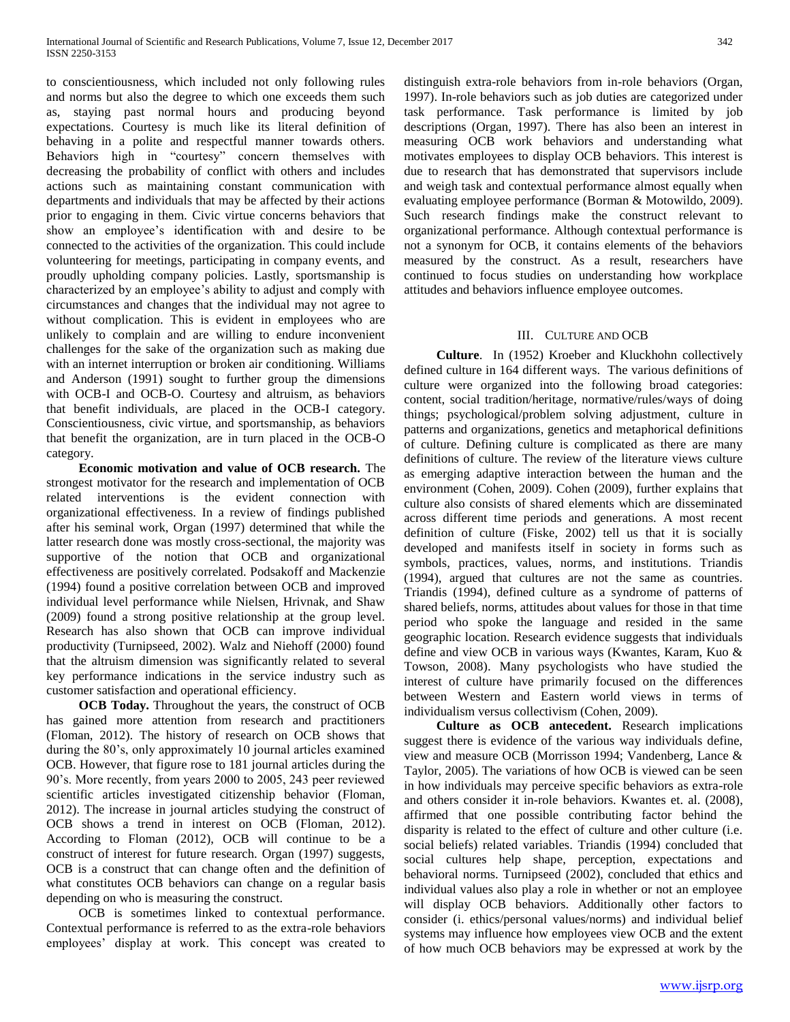to conscientiousness, which included not only following rules and norms but also the degree to which one exceeds them such as, staying past normal hours and producing beyond expectations. Courtesy is much like its literal definition of behaving in a polite and respectful manner towards others. Behaviors high in "courtesy" concern themselves with decreasing the probability of conflict with others and includes actions such as maintaining constant communication with departments and individuals that may be affected by their actions prior to engaging in them. Civic virtue concerns behaviors that show an employee's identification with and desire to be connected to the activities of the organization. This could include volunteering for meetings, participating in company events, and proudly upholding company policies. Lastly, sportsmanship is characterized by an employee's ability to adjust and comply with circumstances and changes that the individual may not agree to without complication. This is evident in employees who are unlikely to complain and are willing to endure inconvenient challenges for the sake of the organization such as making due with an internet interruption or broken air conditioning. Williams and Anderson (1991) sought to further group the dimensions with OCB-I and OCB-O. Courtesy and altruism, as behaviors that benefit individuals, are placed in the OCB-I category. Conscientiousness, civic virtue, and sportsmanship, as behaviors that benefit the organization, are in turn placed in the OCB-O category.

 **Economic motivation and value of OCB research.** The strongest motivator for the research and implementation of OCB related interventions is the evident connection with organizational effectiveness. In a review of findings published after his seminal work, Organ (1997) determined that while the latter research done was mostly cross-sectional, the majority was supportive of the notion that OCB and organizational effectiveness are positively correlated. Podsakoff and Mackenzie (1994) found a positive correlation between OCB and improved individual level performance while Nielsen, Hrivnak, and Shaw (2009) found a strong positive relationship at the group level. Research has also shown that OCB can improve individual productivity (Turnipseed, 2002). Walz and Niehoff (2000) found that the altruism dimension was significantly related to several key performance indications in the service industry such as customer satisfaction and operational efficiency.

 **OCB Today.** Throughout the years, the construct of OCB has gained more attention from research and practitioners (Floman, 2012). The history of research on OCB shows that during the 80's, only approximately 10 journal articles examined OCB. However, that figure rose to 181 journal articles during the 90's. More recently, from years 2000 to 2005, 243 peer reviewed scientific articles investigated citizenship behavior (Floman, 2012). The increase in journal articles studying the construct of OCB shows a trend in interest on OCB (Floman, 2012). According to Floman (2012), OCB will continue to be a construct of interest for future research. Organ (1997) suggests, OCB is a construct that can change often and the definition of what constitutes OCB behaviors can change on a regular basis depending on who is measuring the construct.

OCB is sometimes linked to contextual performance. Contextual performance is referred to as the extra-role behaviors employees' display at work. This concept was created to

distinguish extra-role behaviors from in-role behaviors (Organ, 1997). In-role behaviors such as job duties are categorized under task performance. Task performance is limited by job descriptions (Organ, 1997). There has also been an interest in measuring OCB work behaviors and understanding what motivates employees to display OCB behaviors. This interest is due to research that has demonstrated that supervisors include and weigh task and contextual performance almost equally when evaluating employee performance (Borman & Motowildo, 2009). Such research findings make the construct relevant to organizational performance. Although contextual performance is not a synonym for OCB, it contains elements of the behaviors measured by the construct. As a result, researchers have continued to focus studies on understanding how workplace attitudes and behaviors influence employee outcomes.

### III. CULTURE AND OCB

 **Culture**. In (1952) Kroeber and Kluckhohn collectively defined culture in 164 different ways. The various definitions of culture were organized into the following broad categories: content, social tradition/heritage, normative/rules/ways of doing things; psychological/problem solving adjustment, culture in patterns and organizations, genetics and metaphorical definitions of culture. Defining culture is complicated as there are many definitions of culture. The review of the literature views culture as emerging adaptive interaction between the human and the environment (Cohen, 2009). Cohen (2009), further explains that culture also consists of shared elements which are disseminated across different time periods and generations. A most recent definition of culture (Fiske, 2002) tell us that it is socially developed and manifests itself in society in forms such as symbols, practices, values, norms, and institutions. Triandis (1994), argued that cultures are not the same as countries. Triandis (1994), defined culture as a syndrome of patterns of shared beliefs, norms, attitudes about values for those in that time period who spoke the language and resided in the same geographic location. Research evidence suggests that individuals define and view OCB in various ways (Kwantes, Karam, Kuo & Towson, 2008). Many psychologists who have studied the interest of culture have primarily focused on the differences between Western and Eastern world views in terms of individualism versus collectivism (Cohen, 2009).

 **Culture as OCB antecedent.** Research implications suggest there is evidence of the various way individuals define, view and measure OCB (Morrisson 1994; Vandenberg, Lance & Taylor, 2005). The variations of how OCB is viewed can be seen in how individuals may perceive specific behaviors as extra-role and others consider it in-role behaviors. Kwantes et. al. (2008), affirmed that one possible contributing factor behind the disparity is related to the effect of culture and other culture (i.e. social beliefs) related variables. Triandis (1994) concluded that social cultures help shape, perception, expectations and behavioral norms. Turnipseed (2002), concluded that ethics and individual values also play a role in whether or not an employee will display OCB behaviors. Additionally other factors to consider (i. ethics/personal values/norms) and individual belief systems may influence how employees view OCB and the extent of how much OCB behaviors may be expressed at work by the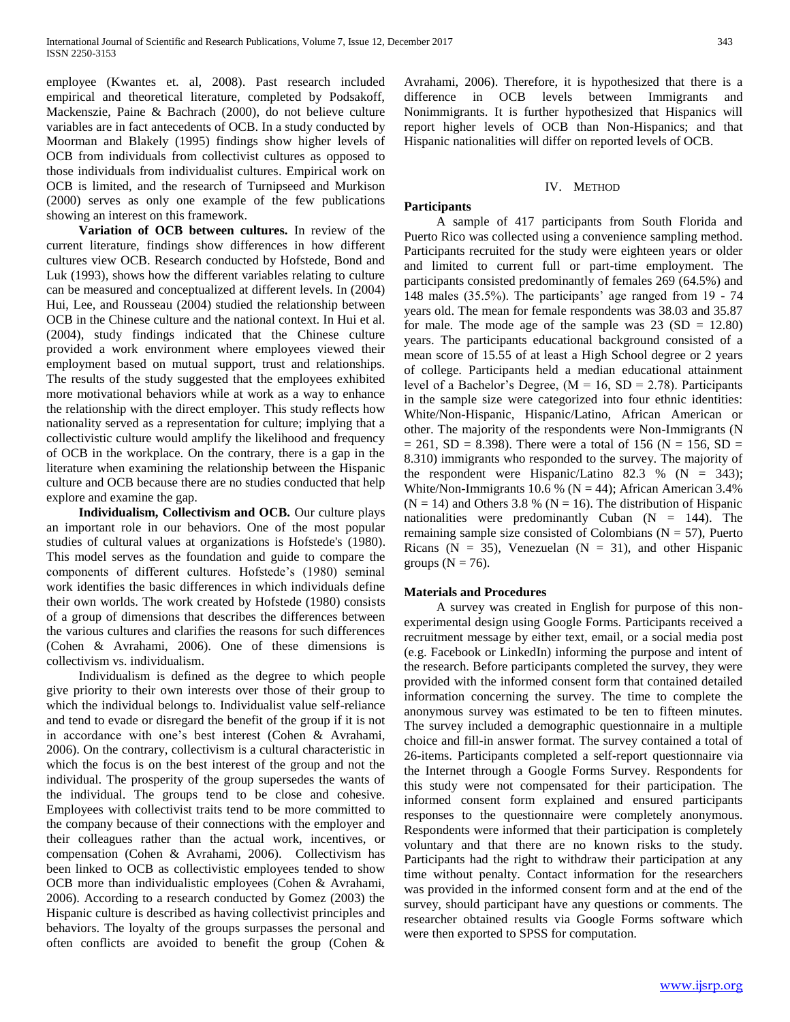employee (Kwantes et. al, 2008). Past research included empirical and theoretical literature, completed by Podsakoff, Mackenszie, Paine & Bachrach (2000), do not believe culture variables are in fact antecedents of OCB. In a study conducted by Moorman and Blakely (1995) findings show higher levels of OCB from individuals from collectivist cultures as opposed to those individuals from individualist cultures. Empirical work on OCB is limited, and the research of Turnipseed and Murkison (2000) serves as only one example of the few publications showing an interest on this framework.

 **Variation of OCB between cultures.** In review of the current literature, findings show differences in how different cultures view OCB. Research conducted by Hofstede, Bond and Luk (1993), shows how the different variables relating to culture can be measured and conceptualized at different levels. In (2004) Hui, Lee, and Rousseau (2004) studied the relationship between OCB in the Chinese culture and the national context. In Hui et al. (2004), study findings indicated that the Chinese culture provided a work environment where employees viewed their employment based on mutual support, trust and relationships. The results of the study suggested that the employees exhibited more motivational behaviors while at work as a way to enhance the relationship with the direct employer. This study reflects how nationality served as a representation for culture; implying that a collectivistic culture would amplify the likelihood and frequency of OCB in the workplace. On the contrary, there is a gap in the literature when examining the relationship between the Hispanic culture and OCB because there are no studies conducted that help explore and examine the gap.

 **Individualism, Collectivism and OCB.** Our culture plays an important role in our behaviors. One of the most popular studies of cultural values at organizations is Hofstede's (1980). This model serves as the foundation and guide to compare the components of different cultures. Hofstede's (1980) seminal work identifies the basic differences in which individuals define their own worlds. The work created by Hofstede (1980) consists of a group of dimensions that describes the differences between the various cultures and clarifies the reasons for such differences (Cohen & Avrahami, 2006). One of these dimensions is collectivism vs. individualism.

Individualism is defined as the degree to which people give priority to their own interests over those of their group to which the individual belongs to. Individualist value self-reliance and tend to evade or disregard the benefit of the group if it is not in accordance with one's best interest (Cohen & Avrahami, 2006). On the contrary, collectivism is a cultural characteristic in which the focus is on the best interest of the group and not the individual. The prosperity of the group supersedes the wants of the individual. The groups tend to be close and cohesive. Employees with collectivist traits tend to be more committed to the company because of their connections with the employer and their colleagues rather than the actual work, incentives, or compensation (Cohen & Avrahami, 2006). Collectivism has been linked to OCB as collectivistic employees tended to show OCB more than individualistic employees (Cohen & Avrahami, 2006). According to a research conducted by Gomez (2003) the Hispanic culture is described as having collectivist principles and behaviors. The loyalty of the groups surpasses the personal and often conflicts are avoided to benefit the group (Cohen &

Avrahami, 2006). Therefore, it is hypothesized that there is a difference in OCB levels between Immigrants and Nonimmigrants. It is further hypothesized that Hispanics will report higher levels of OCB than Non-Hispanics; and that Hispanic nationalities will differ on reported levels of OCB.

### IV. METHOD

### **Participants**

A sample of 417 participants from South Florida and Puerto Rico was collected using a convenience sampling method. Participants recruited for the study were eighteen years or older and limited to current full or part-time employment. The participants consisted predominantly of females 269 (64.5%) and 148 males (35.5%). The participants' age ranged from 19 - 74 years old. The mean for female respondents was 38.03 and 35.87 for male. The mode age of the sample was  $23$  (SD = 12.80) years. The participants educational background consisted of a mean score of 15.55 of at least a High School degree or 2 years of college. Participants held a median educational attainment level of a Bachelor's Degree,  $(M = 16, SD = 2.78)$ . Participants in the sample size were categorized into four ethnic identities: White/Non-Hispanic, Hispanic/Latino, African American or other. The majority of the respondents were Non-Immigrants (N  $= 261$ , SD = 8.398). There were a total of 156 (N = 156, SD = 8.310) immigrants who responded to the survey. The majority of the respondent were Hispanic/Latino 82.3 % ( $N = 343$ ); White/Non-Immigrants 10.6 % ( $N = 44$ ); African American 3.4%  $(N = 14)$  and Others 3.8 % (N = 16). The distribution of Hispanic nationalities were predominantly Cuban  $(N = 144)$ . The remaining sample size consisted of Colombians ( $N = 57$ ), Puerto Ricans ( $N = 35$ ), Venezuelan ( $N = 31$ ), and other Hispanic groups ( $N = 76$ ).

### **Materials and Procedures**

A survey was created in English for purpose of this nonexperimental design using Google Forms. Participants received a recruitment message by either text, email, or a social media post (e.g. Facebook or LinkedIn) informing the purpose and intent of the research. Before participants completed the survey, they were provided with the informed consent form that contained detailed information concerning the survey. The time to complete the anonymous survey was estimated to be ten to fifteen minutes. The survey included a demographic questionnaire in a multiple choice and fill-in answer format. The survey contained a total of 26-items. Participants completed a self-report questionnaire via the Internet through a Google Forms Survey. Respondents for this study were not compensated for their participation. The informed consent form explained and ensured participants responses to the questionnaire were completely anonymous. Respondents were informed that their participation is completely voluntary and that there are no known risks to the study. Participants had the right to withdraw their participation at any time without penalty. Contact information for the researchers was provided in the informed consent form and at the end of the survey, should participant have any questions or comments. The researcher obtained results via Google Forms software which were then exported to SPSS for computation.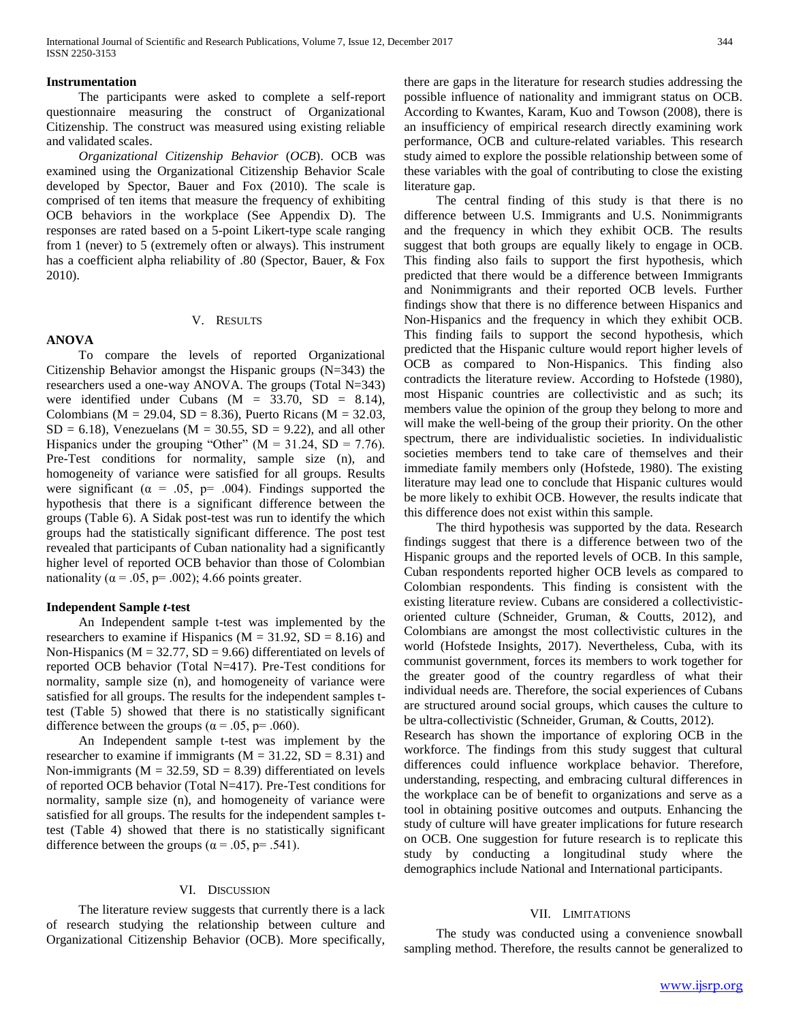#### **Instrumentation**

The participants were asked to complete a self-report questionnaire measuring the construct of Organizational Citizenship. The construct was measured using existing reliable and validated scales.

*Organizational Citizenship Behavior* (*OCB*). OCB was examined using the Organizational Citizenship Behavior Scale developed by Spector, Bauer and Fox (2010). The scale is comprised of ten items that measure the frequency of exhibiting OCB behaviors in the workplace (See Appendix D). The responses are rated based on a 5-point Likert-type scale ranging from 1 (never) to 5 (extremely often or always). This instrument has a coefficient alpha reliability of .80 (Spector, Bauer, & Fox 2010).

### V. RESULTS

### **ANOVA**

To compare the levels of reported Organizational Citizenship Behavior amongst the Hispanic groups (N=343) the researchers used a one-way ANOVA. The groups (Total N=343) were identified under Cubans  $(M = 33.70, SD = 8.14)$ , Colombians ( $M = 29.04$ ,  $SD = 8.36$ ), Puerto Ricans ( $M = 32.03$ ,  $SD = 6.18$ ), Venezuelans (M = 30.55, SD = 9.22), and all other Hispanics under the grouping "Other" ( $M = 31.24$ , SD = 7.76). Pre-Test conditions for normality, sample size (n), and homogeneity of variance were satisfied for all groups. Results were significant ( $\alpha = .05$ , p= .004). Findings supported the hypothesis that there is a significant difference between the groups (Table 6). A Sidak post-test was run to identify the which groups had the statistically significant difference. The post test revealed that participants of Cuban nationality had a significantly higher level of reported OCB behavior than those of Colombian nationality ( $\alpha$  = .05, p= .002); 4.66 points greater.

#### **Independent Sample** *t***-test**

An Independent sample t-test was implemented by the researchers to examine if Hispanics ( $M = 31.92$ ,  $SD = 8.16$ ) and Non-Hispanics ( $M = 32.77$ ,  $SD = 9.66$ ) differentiated on levels of reported OCB behavior (Total N=417). Pre-Test conditions for normality, sample size (n), and homogeneity of variance were satisfied for all groups. The results for the independent samples ttest (Table 5) showed that there is no statistically significant difference between the groups ( $\alpha$  = .05, p= .060).

An Independent sample t-test was implement by the researcher to examine if immigrants  $(M = 31.22, SD = 8.31)$  and Non-immigrants ( $M = 32.59$ ,  $SD = 8.39$ ) differentiated on levels of reported OCB behavior (Total N=417). Pre-Test conditions for normality, sample size (n), and homogeneity of variance were satisfied for all groups. The results for the independent samples ttest (Table 4) showed that there is no statistically significant difference between the groups ( $\alpha$  = .05, p= .541).

#### VI. DISCUSSION

The literature review suggests that currently there is a lack of research studying the relationship between culture and Organizational Citizenship Behavior (OCB). More specifically, there are gaps in the literature for research studies addressing the possible influence of nationality and immigrant status on OCB. According to Kwantes, Karam, Kuo and Towson (2008), there is an insufficiency of empirical research directly examining work performance, OCB and culture-related variables. This research study aimed to explore the possible relationship between some of these variables with the goal of contributing to close the existing literature gap.

The central finding of this study is that there is no difference between U.S. Immigrants and U.S. Nonimmigrants and the frequency in which they exhibit OCB. The results suggest that both groups are equally likely to engage in OCB. This finding also fails to support the first hypothesis, which predicted that there would be a difference between Immigrants and Nonimmigrants and their reported OCB levels. Further findings show that there is no difference between Hispanics and Non-Hispanics and the frequency in which they exhibit OCB. This finding fails to support the second hypothesis, which predicted that the Hispanic culture would report higher levels of OCB as compared to Non-Hispanics. This finding also contradicts the literature review. According to Hofstede (1980), most Hispanic countries are collectivistic and as such; its members value the opinion of the group they belong to more and will make the well-being of the group their priority. On the other spectrum, there are individualistic societies. In individualistic societies members tend to take care of themselves and their immediate family members only (Hofstede, 1980). The existing literature may lead one to conclude that Hispanic cultures would be more likely to exhibit OCB. However, the results indicate that this difference does not exist within this sample.

The third hypothesis was supported by the data. Research findings suggest that there is a difference between two of the Hispanic groups and the reported levels of OCB. In this sample, Cuban respondents reported higher OCB levels as compared to Colombian respondents. This finding is consistent with the existing literature review. Cubans are considered a collectivisticoriented culture (Schneider, Gruman, & Coutts, 2012), and Colombians are amongst the most collectivistic cultures in the world (Hofstede Insights, 2017). Nevertheless, Cuba, with its communist government, forces its members to work together for the greater good of the country regardless of what their individual needs are. Therefore, the social experiences of Cubans are structured around social groups, which causes the culture to be ultra-collectivistic (Schneider, Gruman, & Coutts, 2012).

Research has shown the importance of exploring OCB in the workforce. The findings from this study suggest that cultural differences could influence workplace behavior. Therefore, understanding, respecting, and embracing cultural differences in the workplace can be of benefit to organizations and serve as a tool in obtaining positive outcomes and outputs. Enhancing the study of culture will have greater implications for future research on OCB. One suggestion for future research is to replicate this study by conducting a longitudinal study where the demographics include National and International participants.

### VII. LIMITATIONS

The study was conducted using a convenience snowball sampling method. Therefore, the results cannot be generalized to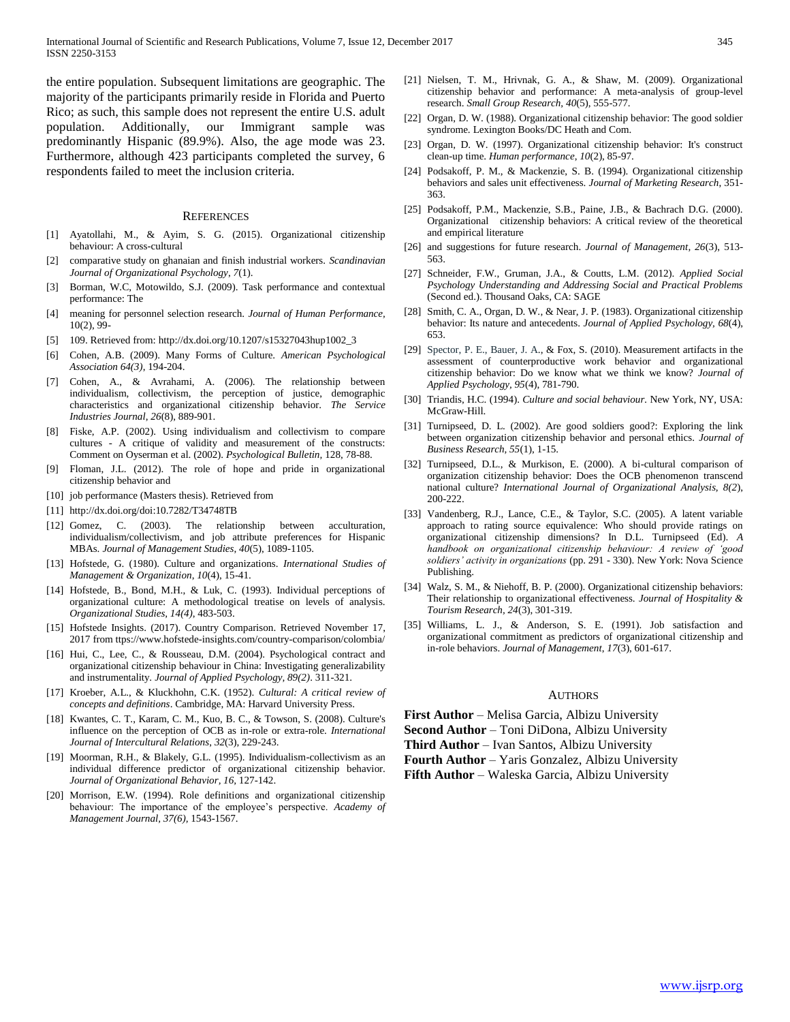the entire population. Subsequent limitations are geographic. The majority of the participants primarily reside in Florida and Puerto Rico; as such, this sample does not represent the entire U.S. adult population. Additionally, our Immigrant sample was predominantly Hispanic (89.9%). Also, the age mode was 23. Furthermore, although 423 participants completed the survey, 6 respondents failed to meet the inclusion criteria.

#### **REFERENCES**

- [1] Ayatollahi, M., & Ayim, S. G. (2015). Organizational citizenship behaviour: A cross-cultural
- [2] comparative study on ghanaian and finish industrial workers. *Scandinavian Journal of Organizational Psychology*, *7*(1).
- [3] Borman, W.C, Motowildo, S.J. (2009). Task performance and contextual performance: The
- [4] meaning for personnel selection research. *Journal of Human Performance,* 10(2), 99-
- [5] 109. Retrieved from: [http://dx.doi.org/10.1207/s15327043hup1002\\_3](http://dx.doi.org/10.1207/s15327043hup1002_3)
- [6] Cohen, A.B. (2009). Many Forms of Culture. *American Psychological Association 64(3)*, 194-204.
- [7] Cohen, A., & Avrahami, A. (2006). The relationship between individualism, collectivism, the perception of justice, demographic characteristics and organizational citizenship behavior. *The Service Industries Journal*, *26*(8), 889-901.
- [8] Fiske, A.P. (2002). Using individualism and collectivism to compare cultures - A critique of validity and measurement of the constructs: Comment on Oyserman et al. (2002). *Psychological Bulletin,* 128, 78-88.
- [9] Floman, J.L. (2012). The role of hope and pride in organizational citizenship behavior and
- [10] job performance (Masters thesis). Retrieved from
- [11] http://dx.doi.org/doi:10.7282/T34748TB
- [12] Gomez, C. (2003). The relationship between acculturation, individualism/collectivism, and job attribute preferences for Hispanic MBAs. *Journal of Management Studies*, *40*(5), 1089-1105.
- [13] Hofstede, G. (1980). Culture and organizations. *International Studies of Management & Organization*, *10*(4), 15-41.
- [14] Hofstede, B., Bond, M.H., & Luk, C. (1993). Individual perceptions of organizational culture: A methodological treatise on levels of analysis. *Organizational Studies, 14(4)*, 483-503.
- [15] Hofstede Insights. (2017). Country Comparison. Retrieved November 17, 2017 from ttps://www.hofstede-insights.com/country-comparison/colombia/
- [16] Hui, C., Lee, C., & Rousseau, D.M. (2004). Psychological contract and organizational citizenship behaviour in China: Investigating generalizability and instrumentality. *Journal of Applied Psychology, 89(2)*. 311-321.
- [17] Kroeber, A.L., & Kluckhohn, C.K. (1952). *Cultural: A critical review of concepts and definitions*. Cambridge, MA: Harvard University Press.
- [18] Kwantes, C. T., Karam, C. M., Kuo, B. C., & Towson, S. (2008). Culture's influence on the perception of OCB as in-role or extra-role. *International Journal of Intercultural Relations*, *32*(3), 229-243.
- [19] Moorman, R.H., & Blakely, G.L. (1995). Individualism-collectivism as an individual difference predictor of organizational citizenship behavior. *Journal of Organizational Behavior, 16,* 127-142.
- [20] Morrison, E.W. (1994). Role definitions and organizational citizenship behaviour: The importance of the employee's perspective. *Academy of Management Journal, 37(6),* 1543-1567.
- [21] Nielsen, T. M., Hrivnak, G. A., & Shaw, M. (2009). Organizational citizenship behavior and performance: A meta-analysis of group-level research. *Small Group Research, 40*(5), 555-577.
- [22] Organ, D. W. (1988). Organizational citizenship behavior: The good soldier syndrome. Lexington Books/DC Heath and Com.
- [23] Organ, D. W. (1997). Organizational citizenship behavior: It's construct clean-up time. *Human performance*, *10*(2), 85-97.
- [24] Podsakoff, P. M., & Mackenzie, S. B. (1994). Organizational citizenship behaviors and sales unit effectiveness. *Journal of Marketing Research*, 351- 363.
- [25] Podsakoff, P.M., Mackenzie, S.B., Paine, J.B., & Bachrach D.G. (2000). Organizational citizenship behaviors: A critical review of the theoretical and empirical literature
- [26] and suggestions for future research. *Journal of Management, 26*(3), 513- 563.
- [27] Schneider, F.W., Gruman, J.A., & Coutts, L.M. (2012). *Applied Social Psychology Understanding and Addressing Social and Practical Problems* (Second ed.). Thousand Oaks, CA: SAGE
- [28] Smith, C. A., Organ, D. W., & Near, J. P. (1983). Organizational citizenship behavior: Its nature and antecedents. *Journal of Applied Psychology, 68*(4), 653.
- [29] Spector, P. E., Bauer, J. A., & Fox, S. (2010). Measurement artifacts in the assessment of counterproductive work behavior and organizational citizenship behavior: Do we know what we think we know? *Journal of Applied Psychology, 95*(4), 781-790.
- [30] Triandis, H.C. (1994). *Culture and social behaviour.* New York, NY, USA: McGraw-Hill.
- [31] Turnipseed, D. L. (2002). Are good soldiers good?: Exploring the link between organization citizenship behavior and personal ethics. *Journal of Business Research, 55*(1), 1-15.
- [32] Turnipseed, D.L., & Murkison, E. (2000). A bi-cultural comparison of organization citizenship behavior: Does the OCB phenomenon transcend national culture? *International Journal of Organizational Analysis, 8(2*), 200-222.
- [33] Vandenberg, R.J., Lance, C.E., & Taylor, S.C. (2005). A latent variable approach to rating source equivalence: Who should provide ratings on organizational citizenship dimensions? In D.L. Turnipseed (Ed). *A handbook on organizational citizenship behaviour: A review of 'good soldiers' activity in organizations* (pp. 291 - 330). New York: Nova Science Publishing.
- [34] Walz, S. M., & Niehoff, B. P. (2000). Organizational citizenship behaviors: Their relationship to organizational effectiveness. *Journal of Hospitality & Tourism Research, 24*(3), 301-319.
- [35] Williams, L. J., & Anderson, S. E. (1991). Job satisfaction and organizational commitment as predictors of organizational citizenship and in-role behaviors. *Journal of Management*, *17*(3), 601-617.

#### AUTHORS

**First Author** – Melisa Garcia, Albizu University **Second Author** – Toni DiDona, Albizu University **Third Author** – Ivan Santos, Albizu University **Fourth Author** – Yaris Gonzalez, Albizu University **Fifth Author** – Waleska Garcia, Albizu University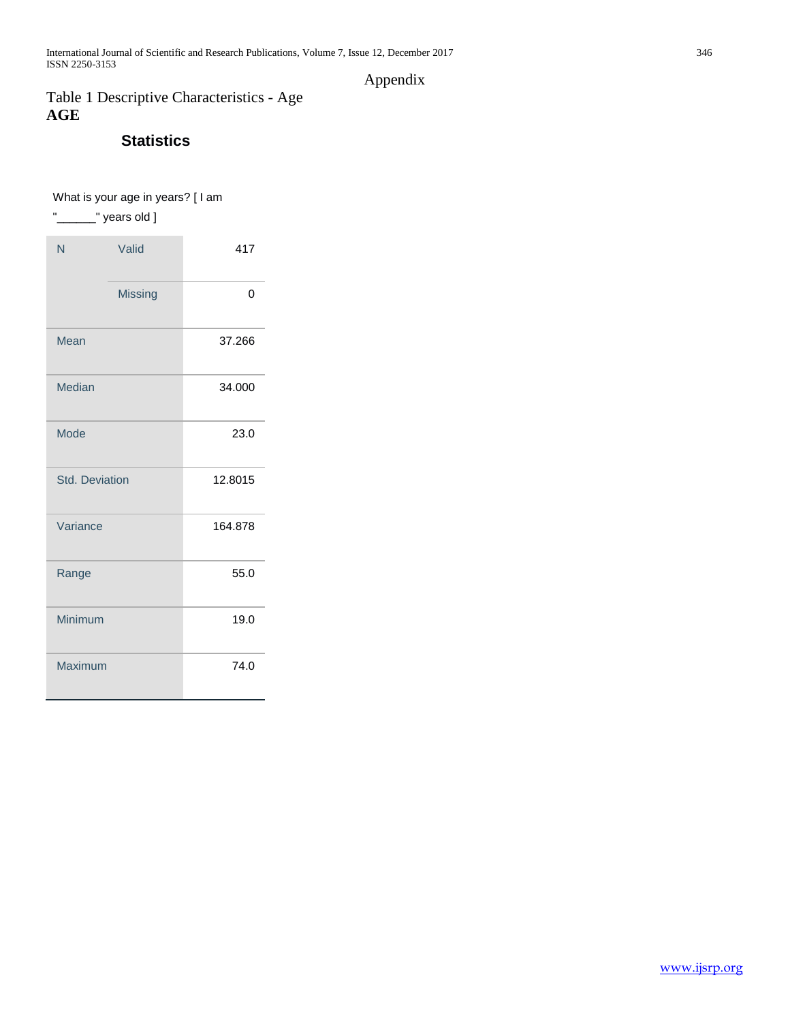International Journal of Scientific and Research Publications, Volume 7, Issue 12, December 2017 346 ISSN 2250-3153

# Appendix

Table 1 Descriptive Characteristics - Age **AGE**

# **Statistics**

What is your age in years? [ I am

|  |  | years old ] |
|--|--|-------------|
|--|--|-------------|

| N              | Valid          | 417     |
|----------------|----------------|---------|
|                | <b>Missing</b> | 0       |
| Mean           |                | 37.266  |
| Median         |                | 34.000  |
| Mode           |                | 23.0    |
| Std. Deviation |                | 12.8015 |
| Variance       |                | 164.878 |
| Range          |                | 55.0    |
| Minimum        |                | 19.0    |
| Maximum        |                | 74.0    |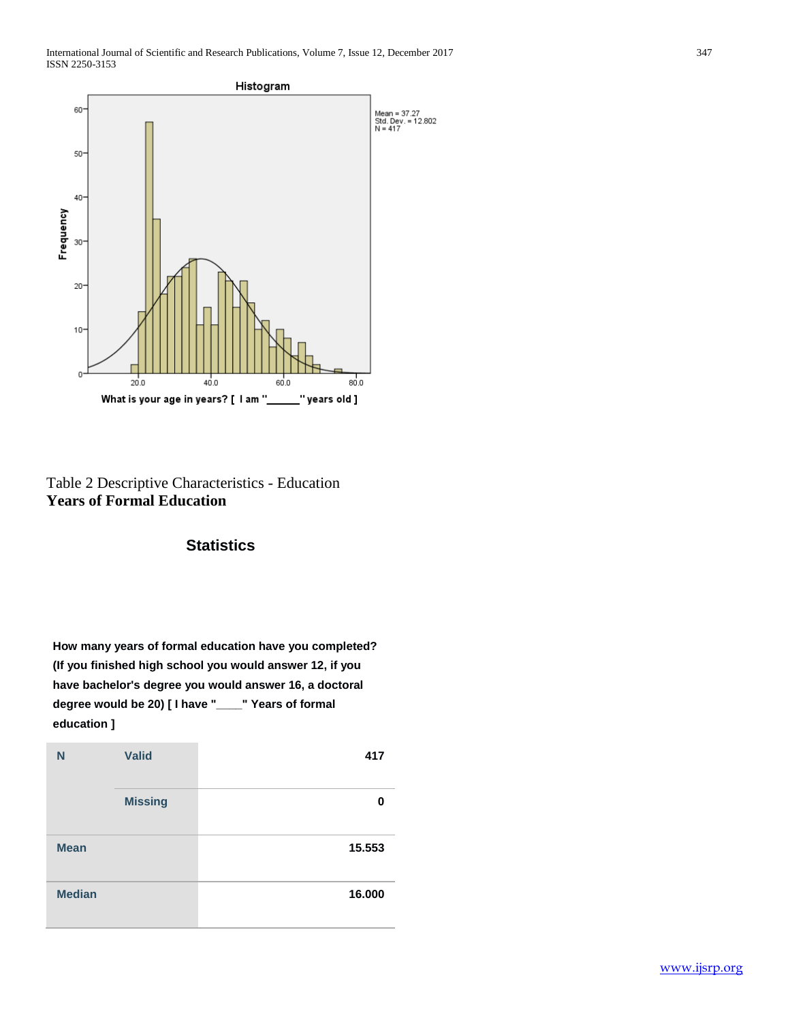International Journal of Scientific and Research Publications, Volume 7, Issue 12, December 2017 347 ISSN 2250-3153



Table 2 Descriptive Characteristics - Education **Years of Formal Education**

# **Statistics**

**How many years of formal education have you completed? (If you finished high school you would answer 12, if you have bachelor's degree you would answer 16, a doctoral degree would be 20) [ I have "\_\_\_\_" Years of formal education ]** 

| N             | <b>Valid</b>   | 417    |
|---------------|----------------|--------|
|               | <b>Missing</b> | 0      |
| <b>Mean</b>   |                | 15.553 |
| <b>Median</b> |                | 16.000 |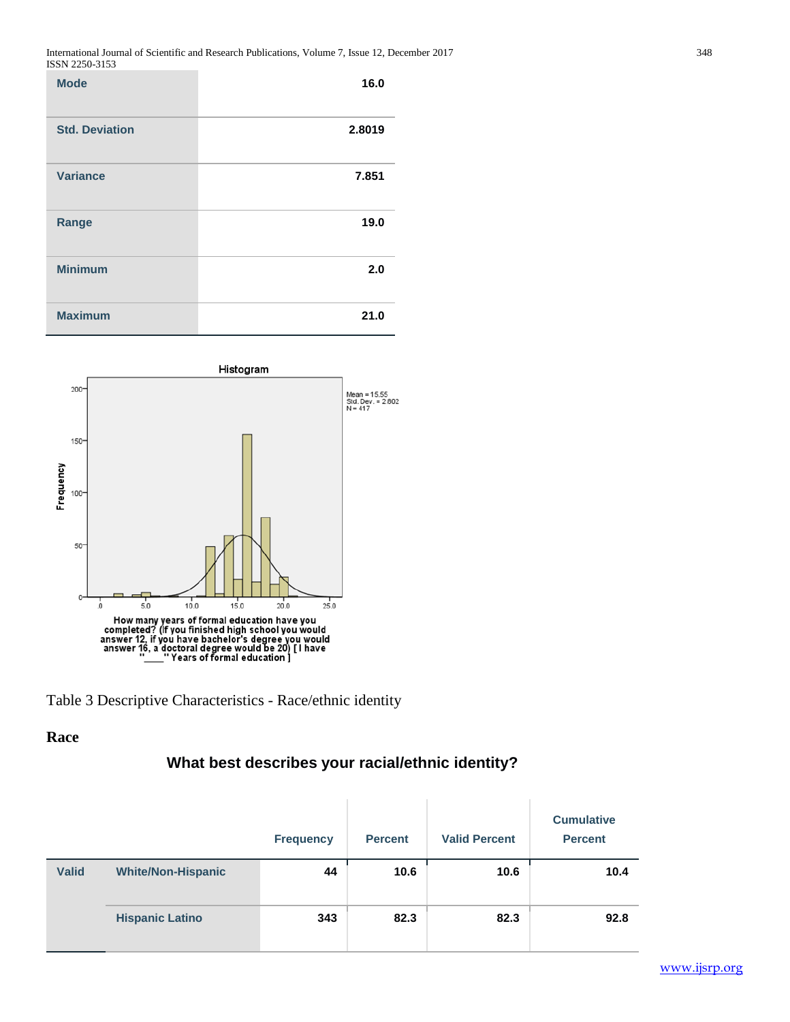International Journal of Scientific and Research Publications, Volume 7, Issue 12, December 2017 348 ISSN 2250-3153

| <b>Mode</b>           | 16.0   |
|-----------------------|--------|
| <b>Std. Deviation</b> | 2.8019 |
| <b>Variance</b>       | 7.851  |
| Range                 | 19.0   |
| <b>Minimum</b>        | 2.0    |
| <b>Maximum</b>        | 21.0   |



Table 3 Descriptive Characteristics - Race/ethnic identity

### **Race**

# **What best describes your racial/ethnic identity?**

|              |                           | <b>Frequency</b> | <b>Percent</b> | <b>Valid Percent</b> | <b>Cumulative</b><br><b>Percent</b> |
|--------------|---------------------------|------------------|----------------|----------------------|-------------------------------------|
| <b>Valid</b> | <b>White/Non-Hispanic</b> | 44               | 10.6           | 10.6                 | 10.4                                |
|              | <b>Hispanic Latino</b>    | 343              | 82.3           | 82.3                 | 92.8                                |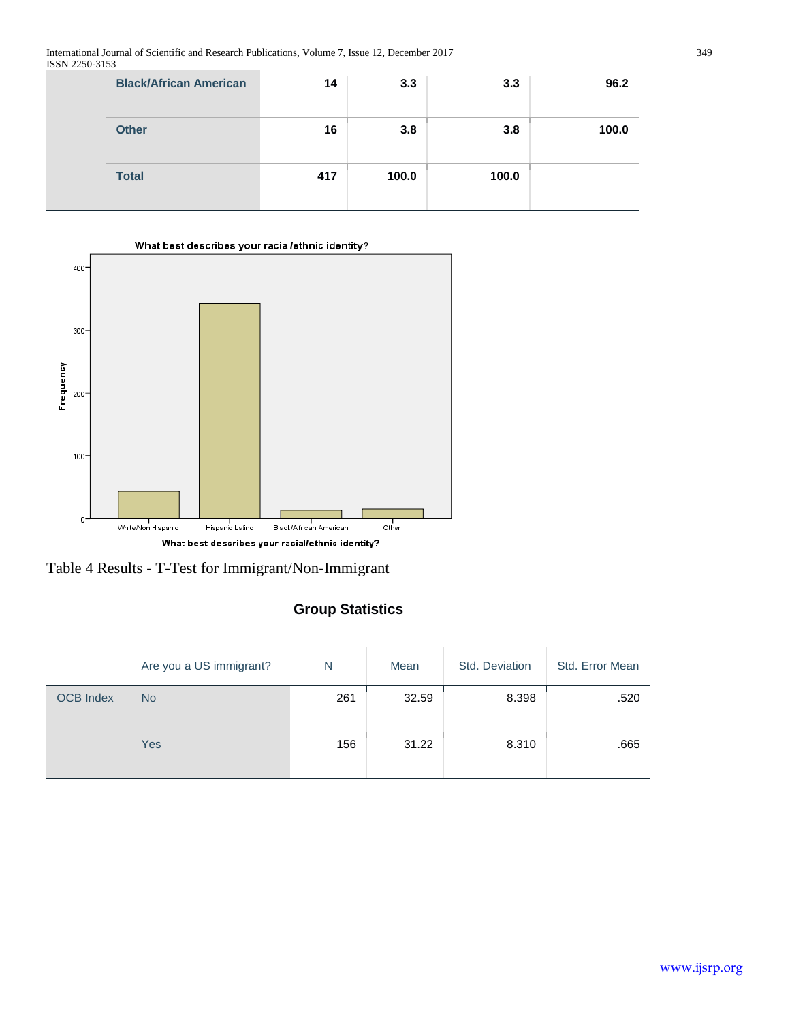International Journal of Scientific and Research Publications, Volume 7, Issue 12, December 2017 349 ISSN 2250-3153

| <b>Black/African American</b> | 14  | 3.3   | 3.3   | 96.2  |
|-------------------------------|-----|-------|-------|-------|
| <b>Other</b>                  | 16  | 3.8   | 3.8   | 100.0 |
| <b>Total</b>                  | 417 | 100.0 | 100.0 |       |





# **Group Statistics**

|                  | Are you a US immigrant? | N   | Mean  | Std. Deviation | Std. Error Mean |
|------------------|-------------------------|-----|-------|----------------|-----------------|
| <b>OCB</b> Index | <b>No</b>               | 261 | 32.59 | 8.398          | .520            |
|                  | Yes                     | 156 | 31.22 | 8.310          | .665            |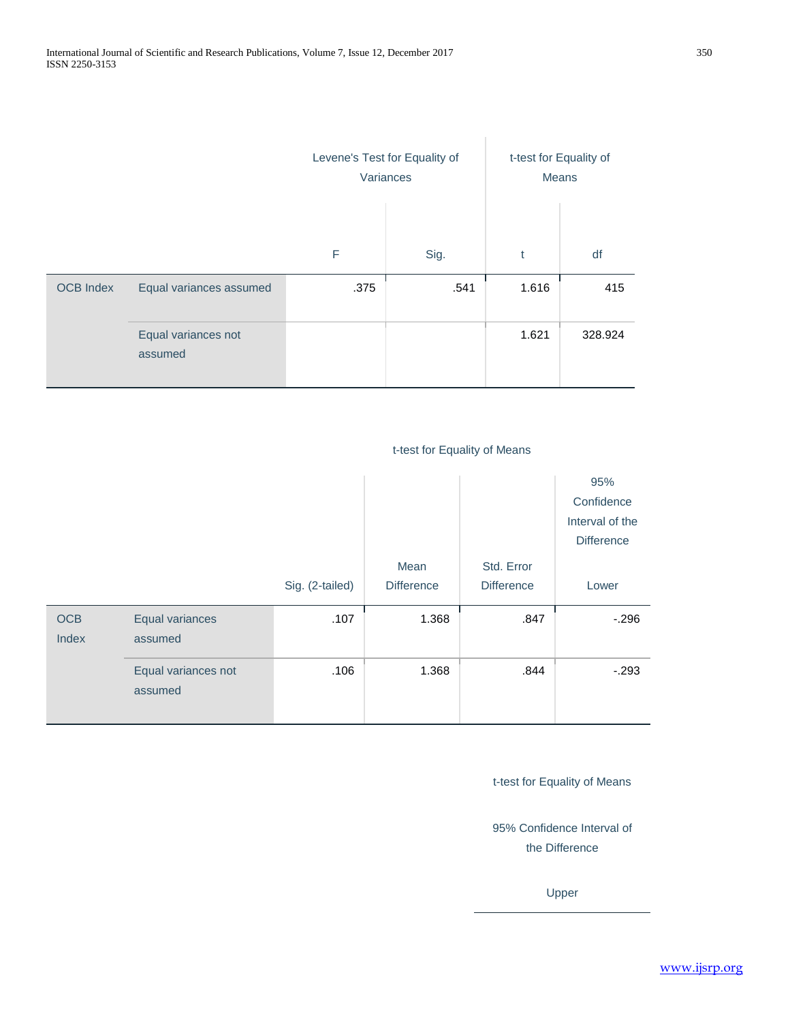|                  |                                |      | Levene's Test for Equality of<br>Variances | t-test for Equality of<br><b>Means</b> |         |  |
|------------------|--------------------------------|------|--------------------------------------------|----------------------------------------|---------|--|
|                  |                                | F    | Sig.                                       | t                                      | df      |  |
| <b>OCB</b> Index | Equal variances assumed        | .375 | .541                                       | 1.616                                  | 415     |  |
|                  | Equal variances not<br>assumed |      |                                            | 1.621                                  | 328.924 |  |

### t-test for Equality of Means

 $\overline{1}$ 

|            |                     |                 |                   |                   | 95%               |
|------------|---------------------|-----------------|-------------------|-------------------|-------------------|
|            |                     |                 |                   |                   | Confidence        |
|            |                     |                 |                   |                   | Interval of the   |
|            |                     |                 |                   |                   | <b>Difference</b> |
|            |                     |                 | Mean              | Std. Error        |                   |
|            |                     | Sig. (2-tailed) | <b>Difference</b> | <b>Difference</b> | Lower             |
| <b>OCB</b> | Equal variances     | .107            | 1.368             | .847              | $-296$            |
| Index      | assumed             |                 |                   |                   |                   |
|            |                     |                 |                   |                   |                   |
|            | Equal variances not | .106            | 1.368             | .844              | $-293$            |
|            | assumed             |                 |                   |                   |                   |

### t-test for Equality of Means

95% Confidence Interval of the Difference

Upper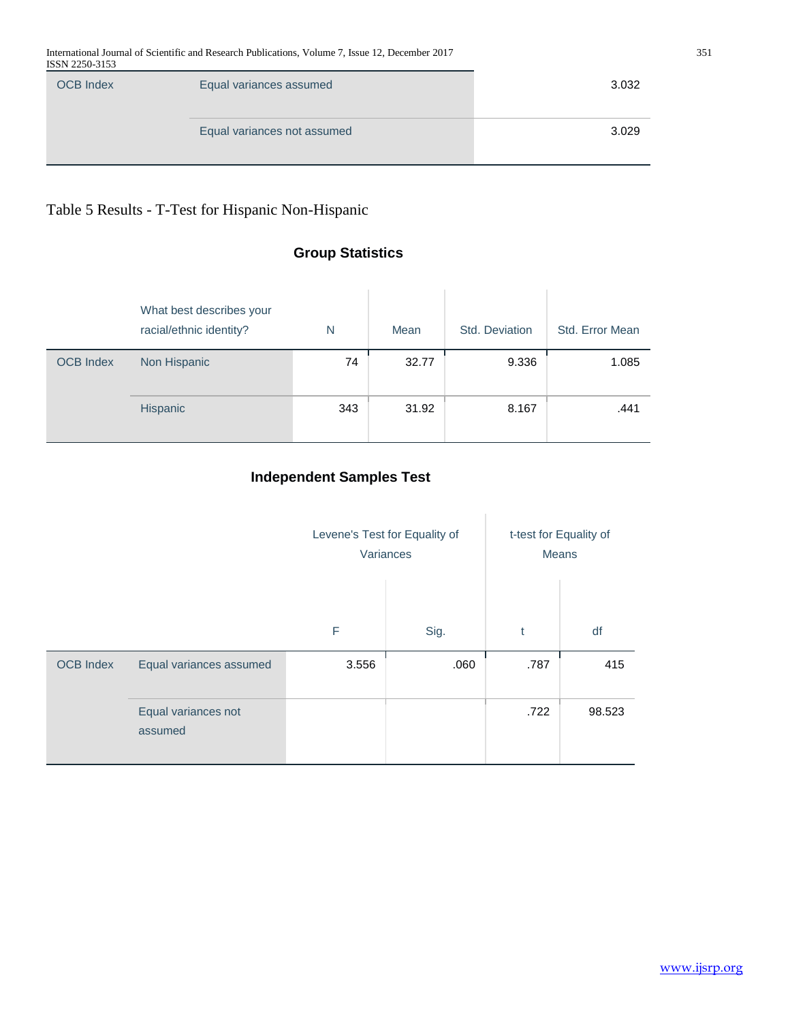| <b>OCB</b> Index | Equal variances assumed     | 3.032 |
|------------------|-----------------------------|-------|
|                  | Equal variances not assumed | 3.029 |

# Table 5 Results - T-Test for Hispanic Non-Hispanic

# **Group Statistics**

|                  | What best describes your<br>racial/ethnic identity? | N   | Mean  | Std. Deviation | Std. Error Mean |
|------------------|-----------------------------------------------------|-----|-------|----------------|-----------------|
| <b>OCB</b> Index | Non Hispanic                                        | 74  | 32.77 | 9.336          | 1.085           |
|                  | Hispanic                                            | 343 | 31.92 | 8.167          | .441            |

# **Independent Samples Test**

|                  |                                |       | Levene's Test for Equality of<br>Variances | t-test for Equality of<br>Means |        |  |
|------------------|--------------------------------|-------|--------------------------------------------|---------------------------------|--------|--|
|                  |                                | F     | Sig.                                       | t                               | df     |  |
| <b>OCB Index</b> | Equal variances assumed        | 3.556 | .060                                       | .787                            | 415    |  |
|                  | Equal variances not<br>assumed |       |                                            | .722                            | 98.523 |  |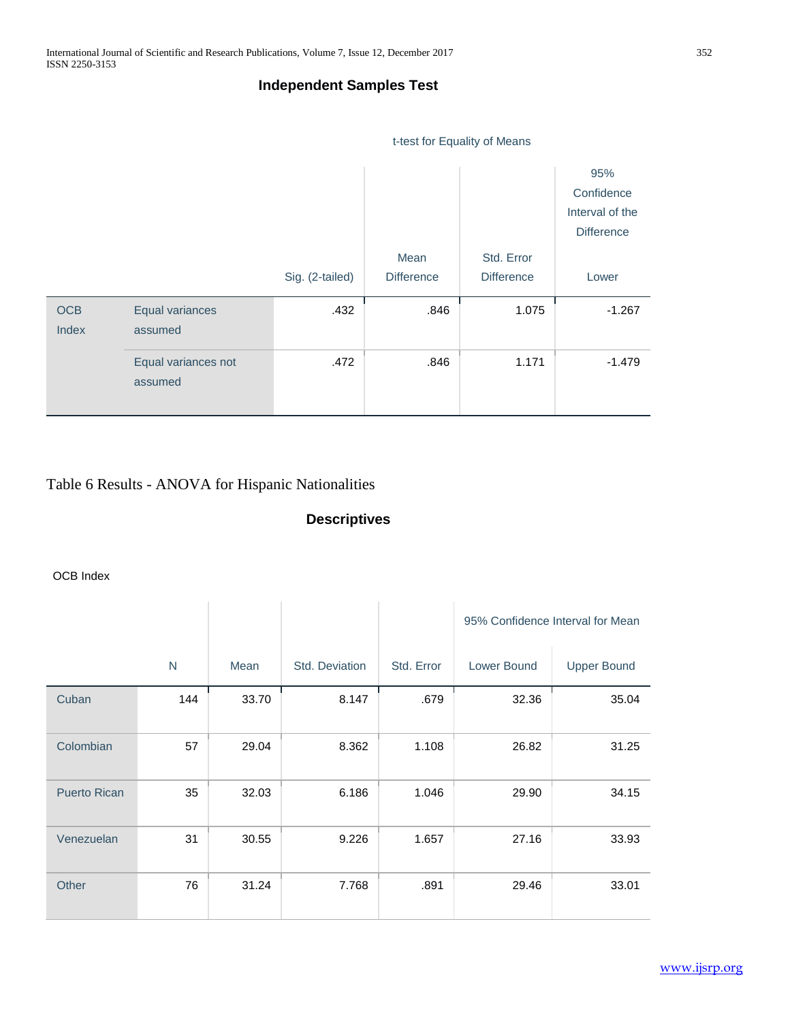### **Independent Samples Test**



# Table 6 Results - ANOVA for Hispanic Nationalities

### **Descriptives**

OCB Index

|                     |              |       |                |            | 95% Confidence Interval for Mean |                    |  |
|---------------------|--------------|-------|----------------|------------|----------------------------------|--------------------|--|
|                     | $\mathsf{N}$ | Mean  | Std. Deviation | Std. Error | Lower Bound                      | <b>Upper Bound</b> |  |
| Cuban               | 144          | 33.70 | 8.147          | .679       | 32.36                            | 35.04              |  |
| Colombian           | 57           | 29.04 | 8.362          | 1.108      | 26.82                            | 31.25              |  |
| <b>Puerto Rican</b> | 35           | 32.03 | 6.186          | 1.046      | 29.90                            | 34.15              |  |
| Venezuelan          | 31           | 30.55 | 9.226          | 1.657      | 27.16                            | 33.93              |  |
| Other               | 76           | 31.24 | 7.768          | .891       | 29.46                            | 33.01              |  |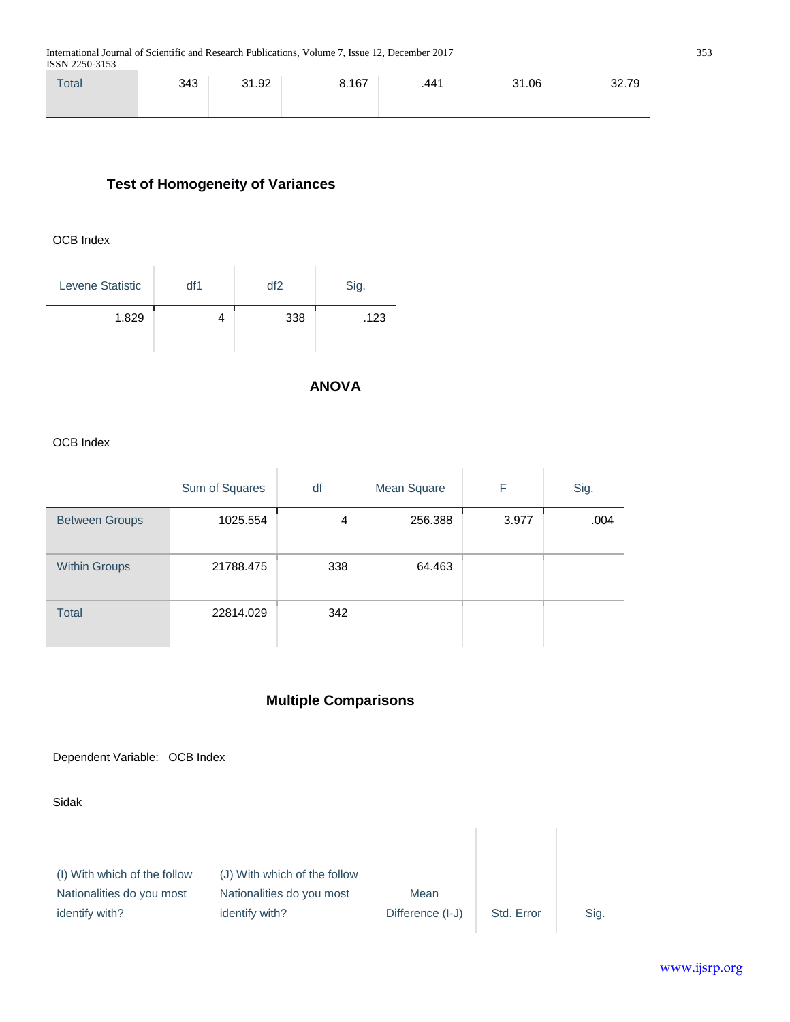| Total | 343 | 31.92 | 8.167 | .441 | 31.06 | 32.79 |
|-------|-----|-------|-------|------|-------|-------|
|       |     |       |       |      |       |       |

# **Test of Homogeneity of Variances**

### OCB Index

| Levene Statistic | df1 | df2 | Sig. |
|------------------|-----|-----|------|
| 1.829            |     | 338 | .123 |

# **ANOVA**

 $\begin{array}{c} \hline \end{array}$ 

### OCB Index

|                       | Sum of Squares | df  | Mean Square | F     | Sig. |
|-----------------------|----------------|-----|-------------|-------|------|
| <b>Between Groups</b> | 1025.554       | 4   | 256.388     | 3.977 | .004 |
| <b>Within Groups</b>  | 21788.475      | 338 | 64.463      |       |      |
| <b>Total</b>          | 22814.029      | 342 |             |       |      |

# **Multiple Comparisons**

Dependent Variable: OCB Index

Sidak

| (I) With which of the follow | (J) With which of the follow |                  |            |      |
|------------------------------|------------------------------|------------------|------------|------|
| Nationalities do you most    | Nationalities do you most    | Mean             |            |      |
| identify with?               | identify with?               | Difference (I-J) | Std. Error | Sig. |
|                              |                              |                  |            |      |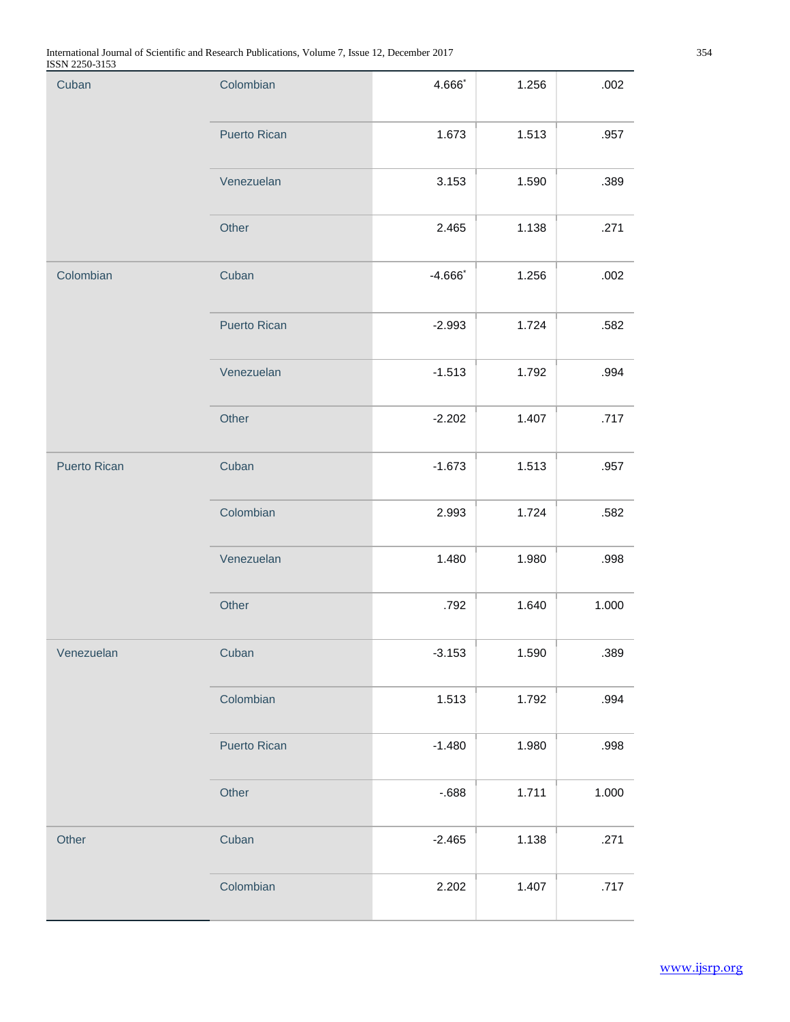| Cuban        | Colombian           | 4.666*     | 1.256 | .002  |
|--------------|---------------------|------------|-------|-------|
|              | <b>Puerto Rican</b> | 1.673      | 1.513 | .957  |
|              | Venezuelan          | 3.153      | 1.590 | .389  |
|              | Other               | 2.465      | 1.138 | .271  |
| Colombian    | Cuban               | $-4.666$ * | 1.256 | .002  |
|              | Puerto Rican        | $-2.993$   | 1.724 | .582  |
|              | Venezuelan          | $-1.513$   | 1.792 | .994  |
|              | Other               | $-2.202$   | 1.407 | .717  |
| Puerto Rican | Cuban               | $-1.673$   | 1.513 | .957  |
|              | Colombian           | 2.993      | 1.724 | .582  |
|              | Venezuelan          | 1.480      | 1.980 | .998  |
|              | Other               | .792       | 1.640 | 1.000 |
| Venezuelan   | Cuban               | $-3.153$   | 1.590 | .389  |
|              | Colombian           | 1.513      | 1.792 | .994  |
|              | <b>Puerto Rican</b> | $-1.480$   | 1.980 | .998  |
|              | Other               | $-688$     | 1.711 | 1.000 |
| Other        | Cuban               | $-2.465$   | 1.138 | .271  |
|              | Colombian           | 2.202      | 1.407 | .717  |